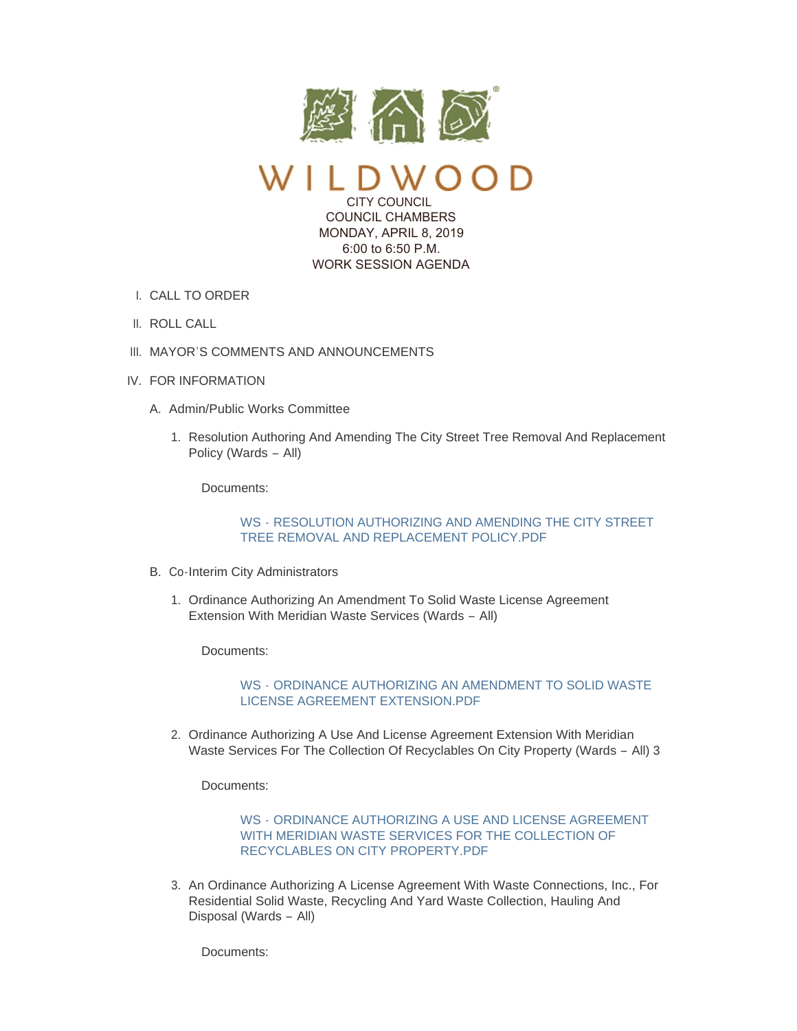

 $\mathcal{Y}$ CITY COUNCIL COUNCIL CHAMBERS

 MONDAY, APRIL 8, 2019 6:00 to 6:50 P.M. WORK SESSION AGENDA

- I. CALL TO ORDER
- II. ROLL CALL
- III. MAYOR'S COMMENTS AND ANNOUNCEMENTS
- IV. FOR INFORMATION
	- A. Admin/Public Works Committee
		- 1. Resolution Authoring And Amending The City Street Tree Removal And Replacement Policy (Wards – All)

Documents:

WS - [RESOLUTION AUTHORIZING AND AMENDING THE CITY STREET](https://www.cityofwildwood.com/AgendaCenter/ViewFile/Item/19732?fileID=25819)  TREE REMOVAL AND REPLACEMENT POLICY.PDF

- B. Co-Interim City Administrators
	- 1. Ordinance Authorizing An Amendment To Solid Waste License Agreement Extension With Meridian Waste Services (Wards – All)

Documents:

WS - [ORDINANCE AUTHORIZING AN AMENDMENT TO SOLID WASTE](https://www.cityofwildwood.com/AgendaCenter/ViewFile/Item/19734?fileID=25866)  LICENSE AGREEMENT EXTENSION.PDF

2. Ordinance Authorizing A Use And License Agreement Extension With Meridian Waste Services For The Collection Of Recyclables On City Property (Wards – All) 3

Documents:

WS - ORDINANCE AUTHORIZING A USE AND LICENSE AGREEMENT [WITH MERIDIAN WASTE SERVICES FOR THE COLLECTION OF](https://www.cityofwildwood.com/AgendaCenter/ViewFile/Item/19735?fileID=25838)  RECYCLABLES ON CITY PROPERTY.PDF

3. An Ordinance Authorizing A License Agreement With Waste Connections, Inc., For Residential Solid Waste, Recycling And Yard Waste Collection, Hauling And Disposal (Wards – All)

Documents: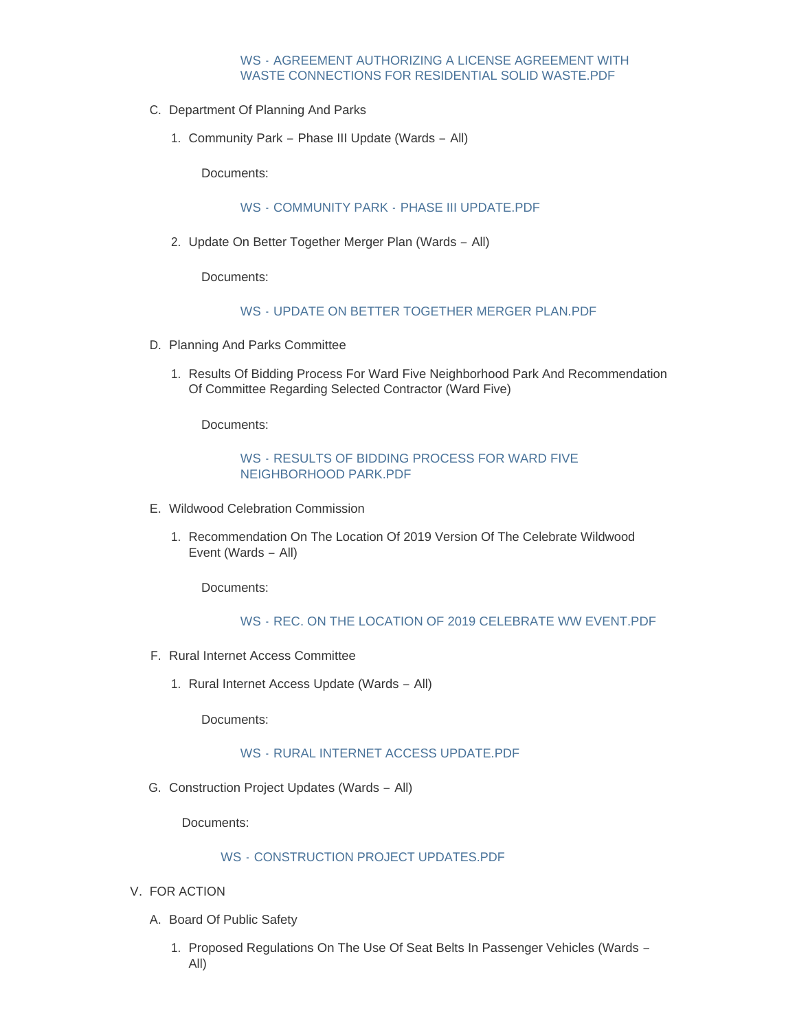# WS - AGREEMENT AUTHORIZING A LICENSE AGREEMENT WITH [WASTE CONNECTIONS FOR RESIDENTIAL SOLID WASTE.PDF](https://www.cityofwildwood.com/AgendaCenter/ViewFile/Item/19736?fileID=25863)

- C. Department Of Planning And Parks
	- 1. Community Park Phase III Update (Wards All)

Documents:

# WS - COMMUNITY PARK - [PHASE III UPDATE.PDF](https://www.cityofwildwood.com/AgendaCenter/ViewFile/Item/19738?fileID=25820)

2. Update On Better Together Merger Plan (Wards - All)

Documents:

# WS - UPDATE ON BETTER TOGETHER MERGER PLAN PDF

- D. Planning And Parks Committee
	- 1. Results Of Bidding Process For Ward Five Neighborhood Park And Recommendation Of Committee Regarding Selected Contractor (Ward Five)

Documents:

# WS - RESULTS OF BIDDING PROCESS FOR WARD FIVE NEIGHBORHOOD PARK.PDF

- E. Wildwood Celebration Commission
	- 1. Recommendation On The Location Of 2019 Version Of The Celebrate Wildwood Event (Wards – All)

Documents:

# WS - [REC. ON THE LOCATION OF 2019 CELEBRATE WW EVENT.PDF](https://www.cityofwildwood.com/AgendaCenter/ViewFile/Item/19743?fileID=25821)

- F. Rural Internet Access Committee
	- 1. Rural Internet Access Update (Wards All)

Documents:

#### WS - [RURAL INTERNET ACCESS UPDATE.PDF](https://www.cityofwildwood.com/AgendaCenter/ViewFile/Item/19745?fileID=25822)

G. Construction Project Updates (Wards - All)

Documents:

### WS - [CONSTRUCTION PROJECT UPDATES.PDF](https://www.cityofwildwood.com/AgendaCenter/ViewFile/Item/19746?fileID=25823)

- V. FOR ACTION
	- A. Board Of Public Safety
		- 1. Proposed Regulations On The Use Of Seat Belts In Passenger Vehicles (Wards -All)